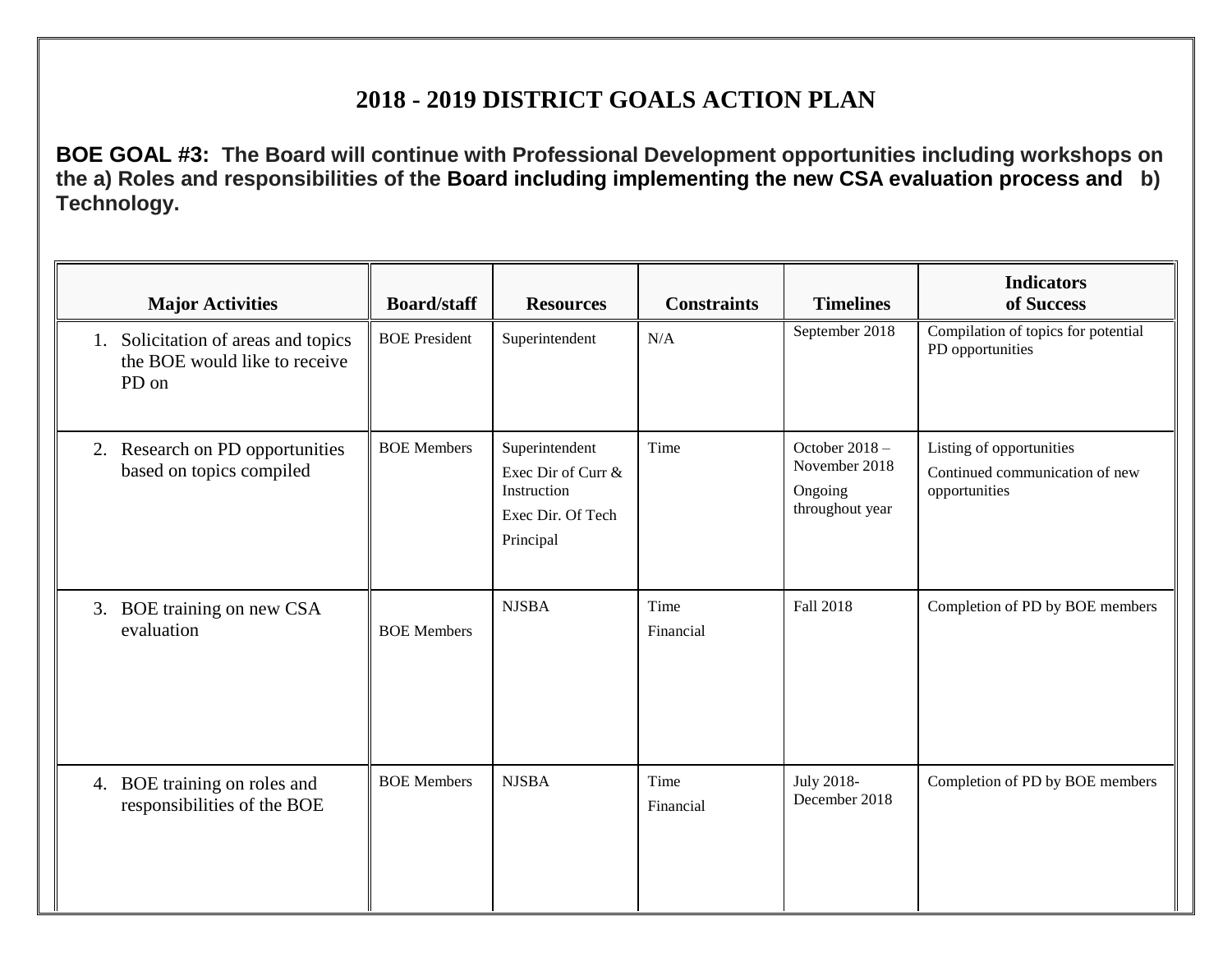## **2018 - 2019 DISTRICT GOALS ACTION PLAN**

**BOE GOAL #3: The Board will continue with Professional Development opportunities including workshops on the a) Roles and responsibilities of the Board including implementing the new CSA evaluation process and b) Technology.**

| <b>Major Activities</b>                                                          | <b>Board/staff</b>   | <b>Resources</b>                                                                      | <b>Constraints</b> | <b>Timelines</b>                                              | <b>Indicators</b><br>of Success                                             |
|----------------------------------------------------------------------------------|----------------------|---------------------------------------------------------------------------------------|--------------------|---------------------------------------------------------------|-----------------------------------------------------------------------------|
| Solicitation of areas and topics<br>1.<br>the BOE would like to receive<br>PD on | <b>BOE</b> President | Superintendent                                                                        | N/A                | September 2018                                                | Compilation of topics for potential<br>PD opportunities                     |
| Research on PD opportunities<br>2.<br>based on topics compiled                   | <b>BOE</b> Members   | Superintendent<br>Exec Dir of Curr &<br>Instruction<br>Exec Dir. Of Tech<br>Principal | Time               | October 2018 -<br>November 2018<br>Ongoing<br>throughout year | Listing of opportunities<br>Continued communication of new<br>opportunities |
| 3. BOE training on new CSA<br>evaluation                                         | <b>BOE</b> Members   | <b>NJSBA</b>                                                                          | Time<br>Financial  | Fall 2018                                                     | Completion of PD by BOE members                                             |
| 4. BOE training on roles and<br>responsibilities of the BOE                      | <b>BOE</b> Members   | <b>NJSBA</b>                                                                          | Time<br>Financial  | July 2018-<br>December 2018                                   | Completion of PD by BOE members                                             |